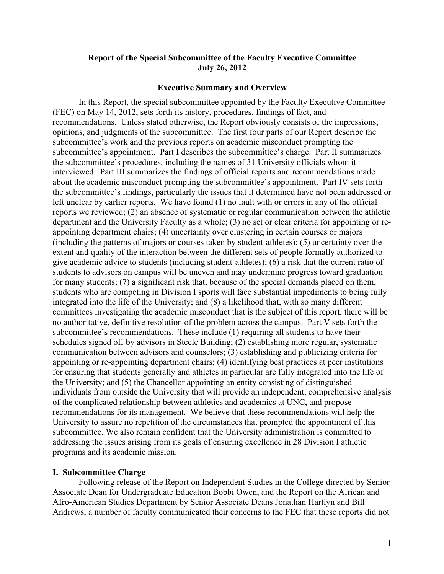## **Report of the Special Subcommittee of the Faculty Executive Committee July 26, 2012**

### **Executive Summary and Overview**

In this Report, the special subcommittee appointed by the Faculty Executive Committee (FEC) on May 14, 2012, sets forth its history, procedures, findings of fact, and recommendations. Unless stated otherwise, the Report obviously consists of the impressions, opinions, and judgments of the subcommittee. The first four parts of our Report describe the subcommittee's work and the previous reports on academic misconduct prompting the subcommittee's appointment. Part I describes the subcommittee's charge. Part II summarizes the subcommittee's procedures, including the names of 31 University officials whom it interviewed. Part III summarizes the findings of official reports and recommendations made about the academic misconduct prompting the subcommittee's appointment. Part IV sets forth the subcommittee's findings, particularly the issues that it determined have not been addressed or left unclear by earlier reports. We have found (1) no fault with or errors in any of the official reports we reviewed; (2) an absence of systematic or regular communication between the athletic department and the University Faculty as a whole; (3) no set or clear criteria for appointing or reappointing department chairs; (4) uncertainty over clustering in certain courses or majors (including the patterns of majors or courses taken by student-athletes); (5) uncertainty over the extent and quality of the interaction between the different sets of people formally authorized to give academic advice to students (including student-athletes); (6) a risk that the current ratio of students to advisors on campus will be uneven and may undermine progress toward graduation for many students; (7) a significant risk that, because of the special demands placed on them, students who are competing in Division I sports will face substantial impediments to being fully integrated into the life of the University; and (8) a likelihood that, with so many different committees investigating the academic misconduct that is the subject of this report, there will be no authoritative, definitive resolution of the problem across the campus. Part V sets forth the subcommittee's recommendations. These include (1) requiring all students to have their schedules signed off by advisors in Steele Building; (2) establishing more regular, systematic communication between advisors and counselors; (3) establishing and publicizing criteria for appointing or re-appointing department chairs; (4) identifying best practices at peer institutions for ensuring that students generally and athletes in particular are fully integrated into the life of the University; and (5) the Chancellor appointing an entity consisting of distinguished individuals from outside the University that will provide an independent, comprehensive analysis of the complicated relationship between athletics and academics at UNC, and propose recommendations for its management. We believe that these recommendations will help the University to assure no repetition of the circumstances that prompted the appointment of this subcommittee. We also remain confident that the University administration is committed to addressing the issues arising from its goals of ensuring excellence in 28 Division I athletic programs and its academic mission.

### **I. Subcommittee Charge**

Following release of the Report on Independent Studies in the College directed by Senior Associate Dean for Undergraduate Education Bobbi Owen, and the Report on the African and Afro-American Studies Department by Senior Associate Deans Jonathan Hartlyn and Bill Andrews, a number of faculty communicated their concerns to the FEC that these reports did not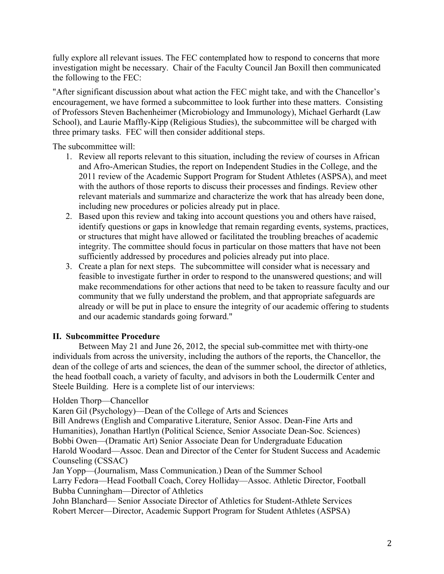fully explore all relevant issues. The FEC contemplated how to respond to concerns that more investigation might be necessary. Chair of the Faculty Council Jan Boxill then communicated the following to the FEC:

"After significant discussion about what action the FEC might take, and with the Chancellor's encouragement, we have formed a subcommittee to look further into these matters. Consisting of Professors Steven Bachenheimer (Microbiology and Immunology), Michael Gerhardt (Law School), and Laurie Maffly-Kipp (Religious Studies), the subcommittee will be charged with three primary tasks. FEC will then consider additional steps.

The subcommittee will:

- 1. Review all reports relevant to this situation, including the review of courses in African and Afro-American Studies, the report on Independent Studies in the College, and the 2011 review of the Academic Support Program for Student Athletes (ASPSA), and meet with the authors of those reports to discuss their processes and findings. Review other relevant materials and summarize and characterize the work that has already been done, including new procedures or policies already put in place.
- 2. Based upon this review and taking into account questions you and others have raised, identify questions or gaps in knowledge that remain regarding events, systems, practices, or structures that might have allowed or facilitated the troubling breaches of academic integrity. The committee should focus in particular on those matters that have not been sufficiently addressed by procedures and policies already put into place.
- 3. Create a plan for next steps. The subcommittee will consider what is necessary and feasible to investigate further in order to respond to the unanswered questions; and will make recommendations for other actions that need to be taken to reassure faculty and our community that we fully understand the problem, and that appropriate safeguards are already or will be put in place to ensure the integrity of our academic offering to students and our academic standards going forward."

# **II. Subcommittee Procedure**

Between May 21 and June 26, 2012, the special sub-committee met with thirty-one individuals from across the university, including the authors of the reports, the Chancellor, the dean of the college of arts and sciences, the dean of the summer school, the director of athletics, the head football coach, a variety of faculty, and advisors in both the Loudermilk Center and Steele Building. Here is a complete list of our interviews:

# Holden Thorp—Chancellor

Karen Gil (Psychology)—Dean of the College of Arts and Sciences

Bill Andrews (English and Comparative Literature, Senior Assoc. Dean-Fine Arts and Humanities), Jonathan Hartlyn (Political Science, Senior Associate Dean-Soc. Sciences) Bobbi Owen—(Dramatic Art) Senior Associate Dean for Undergraduate Education Harold Woodard—Assoc. Dean and Director of the Center for Student Success and Academic Counseling (CSSAC)

Jan Yopp—(Journalism, Mass Communication.) Dean of the Summer School Larry Fedora—Head Football Coach, Corey Holliday—Assoc. Athletic Director, Football Bubba Cunningham—Director of Athletics

John Blanchard— Senior Associate Director of Athletics for Student-Athlete Services Robert Mercer—Director, Academic Support Program for Student Athletes (ASPSA)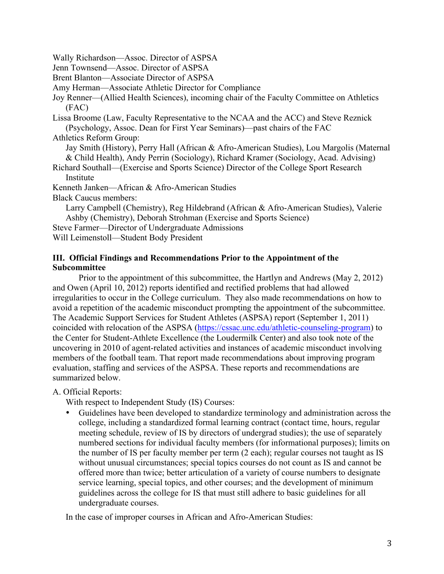Wally Richardson—Assoc. Director of ASPSA

Jenn Townsend—Assoc. Director of ASPSA

Brent Blanton—Associate Director of ASPSA

Amy Herman—Associate Athletic Director for Compliance

Joy Renner—(Allied Health Sciences), incoming chair of the Faculty Committee on Athletics (FAC)

Lissa Broome (Law, Faculty Representative to the NCAA and the ACC) and Steve Reznick (Psychology, Assoc. Dean for First Year Seminars)—past chairs of the FAC

Athletics Reform Group:

Jay Smith (History), Perry Hall (African & Afro-American Studies), Lou Margolis (Maternal & Child Health), Andy Perrin (Sociology), Richard Kramer (Sociology, Acad. Advising)

Richard Southall—(Exercise and Sports Science) Director of the College Sport Research **Institute** 

Kenneth Janken—African & Afro-American Studies

Black Caucus members:

Larry Campbell (Chemistry), Reg Hildebrand (African & Afro-American Studies), Valerie Ashby (Chemistry), Deborah Strohman (Exercise and Sports Science)

Steve Farmer—Director of Undergraduate Admissions

Will Leimenstoll—Student Body President

## **III. Official Findings and Recommendations Prior to the Appointment of the Subcommittee**

Prior to the appointment of this subcommittee, the Hartlyn and Andrews (May 2, 2012) and Owen (April 10, 2012) reports identified and rectified problems that had allowed irregularities to occur in the College curriculum. They also made recommendations on how to avoid a repetition of the academic misconduct prompting the appointment of the subcommittee. The Academic Support Services for Student Athletes (ASPSA) report (September 1, 2011) coincided with relocation of the ASPSA (https://cssac.unc.edu/athletic-counseling-program) to the Center for Student-Athlete Excellence (the Loudermilk Center) and also took note of the uncovering in 2010 of agent-related activities and instances of academic misconduct involving members of the football team. That report made recommendations about improving program evaluation, staffing and services of the ASPSA. These reports and recommendations are summarized below.

A. Official Reports:

With respect to Independent Study (IS) Courses:

• Guidelines have been developed to standardize terminology and administration across the college, including a standardized formal learning contract (contact time, hours, regular meeting schedule, review of IS by directors of undergrad studies); the use of separately numbered sections for individual faculty members (for informational purposes); limits on the number of IS per faculty member per term (2 each); regular courses not taught as IS without unusual circumstances; special topics courses do not count as IS and cannot be offered more than twice; better articulation of a variety of course numbers to designate service learning, special topics, and other courses; and the development of minimum guidelines across the college for IS that must still adhere to basic guidelines for all undergraduate courses.

In the case of improper courses in African and Afro-American Studies: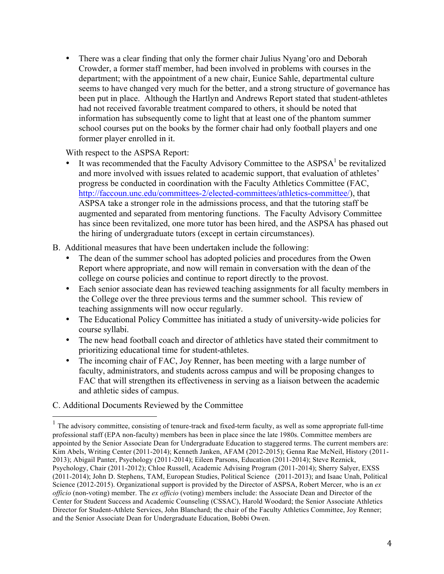• There was a clear finding that only the former chair Julius Nyang'oro and Deborah Crowder, a former staff member, had been involved in problems with courses in the department; with the appointment of a new chair, Eunice Sahle, departmental culture seems to have changed very much for the better, and a strong structure of governance has been put in place. Although the Hartlyn and Andrews Report stated that student-athletes had not received favorable treatment compared to others, it should be noted that information has subsequently come to light that at least one of the phantom summer school courses put on the books by the former chair had only football players and one former player enrolled in it.

With respect to the ASPSA Report:

- It was recommended that the Faculty Advisory Committee to the  $\text{ASPSA}^1$  be revitalized and more involved with issues related to academic support, that evaluation of athletes' progress be conducted in coordination with the Faculty Athletics Committee (FAC, http://faccoun.unc.edu/committees-2/elected-committees/athletics-committee/), that ASPSA take a stronger role in the admissions process, and that the tutoring staff be augmented and separated from mentoring functions. The Faculty Advisory Committee has since been revitalized, one more tutor has been hired, and the ASPSA has phased out the hiring of undergraduate tutors (except in certain circumstances).
- B. Additional measures that have been undertaken include the following:
	- The dean of the summer school has adopted policies and procedures from the Owen Report where appropriate, and now will remain in conversation with the dean of the college on course policies and continue to report directly to the provost.
	- Each senior associate dean has reviewed teaching assignments for all faculty members in the College over the three previous terms and the summer school. This review of teaching assignments will now occur regularly.
	- The Educational Policy Committee has initiated a study of university-wide policies for course syllabi.
	- The new head football coach and director of athletics have stated their commitment to prioritizing educational time for student-athletes.
	- The incoming chair of FAC, Joy Renner, has been meeting with a large number of faculty, administrators, and students across campus and will be proposing changes to FAC that will strengthen its effectiveness in serving as a liaison between the academic and athletic sides of campus.

## C. Additional Documents Reviewed by the Committee

 $<sup>1</sup>$  The advisory committee, consisting of tenure-track and fixed-term faculty, as well as some appropriate full-time</sup> professional staff (EPA non-faculty) members has been in place since the late 1980s. Committee members are appointed by the Senior Associate Dean for Undergraduate Education to staggered terms. The current members are: Kim Abels, Writing Center (2011-2014); Kenneth Janken, AFAM (2012-2015); Genna Rae McNeil, History (2011- 2013); Abigail Panter, Psychology (2011-2014); Eileen Parsons, Education (2011-2014); Steve Reznick, Psychology, Chair (2011-2012); Chloe Russell, Academic Advising Program (2011-2014); Sherry Salyer, EXSS (2011-2014); John D. Stephens, TAM, European Studies, Political Science (2011-2013); and Isaac Unah, Political Science (2012-2015). Organizational support is provided by the Director of ASPSA, Robert Mercer, who is an *ex officio* (non-voting) member. The *ex officio* (voting) members include: the Associate Dean and Director of the Center for Student Success and Academic Counseling (CSSAC), Harold Woodard; the Senior Associate Athletics Director for Student-Athlete Services, John Blanchard; the chair of the Faculty Athletics Committee, Joy Renner; and the Senior Associate Dean for Undergraduate Education, Bobbi Owen.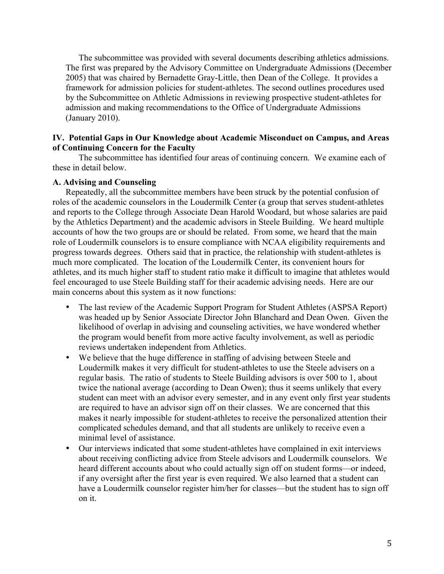The subcommittee was provided with several documents describing athletics admissions. The first was prepared by the Advisory Committee on Undergraduate Admissions (December 2005) that was chaired by Bernadette Gray-Little, then Dean of the College. It provides a framework for admission policies for student-athletes. The second outlines procedures used by the Subcommittee on Athletic Admissions in reviewing prospective student-athletes for admission and making recommendations to the Office of Undergraduate Admissions (January 2010).

## **IV. Potential Gaps in Our Knowledge about Academic Misconduct on Campus, and Areas of Continuing Concern for the Faculty**

The subcommittee has identified four areas of continuing concern. We examine each of these in detail below.

### **A. Advising and Counseling**

Repeatedly, all the subcommittee members have been struck by the potential confusion of roles of the academic counselors in the Loudermilk Center (a group that serves student-athletes and reports to the College through Associate Dean Harold Woodard, but whose salaries are paid by the Athletics Department) and the academic advisors in Steele Building. We heard multiple accounts of how the two groups are or should be related. From some, we heard that the main role of Loudermilk counselors is to ensure compliance with NCAA eligibility requirements and progress towards degrees. Others said that in practice, the relationship with student-athletes is much more complicated. The location of the Loudermilk Center, its convenient hours for athletes, and its much higher staff to student ratio make it difficult to imagine that athletes would feel encouraged to use Steele Building staff for their academic advising needs. Here are our main concerns about this system as it now functions:

- The last review of the Academic Support Program for Student Athletes (ASPSA Report) was headed up by Senior Associate Director John Blanchard and Dean Owen. Given the likelihood of overlap in advising and counseling activities, we have wondered whether the program would benefit from more active faculty involvement, as well as periodic reviews undertaken independent from Athletics.
- We believe that the huge difference in staffing of advising between Steele and Loudermilk makes it very difficult for student-athletes to use the Steele advisers on a regular basis. The ratio of students to Steele Building advisors is over 500 to 1, about twice the national average (according to Dean Owen); thus it seems unlikely that every student can meet with an advisor every semester, and in any event only first year students are required to have an advisor sign off on their classes. We are concerned that this makes it nearly impossible for student-athletes to receive the personalized attention their complicated schedules demand, and that all students are unlikely to receive even a minimal level of assistance.
- Our interviews indicated that some student-athletes have complained in exit interviews about receiving conflicting advice from Steele advisors and Loudermilk counselors. We heard different accounts about who could actually sign off on student forms—or indeed, if any oversight after the first year is even required. We also learned that a student can have a Loudermilk counselor register him/her for classes—but the student has to sign off on it.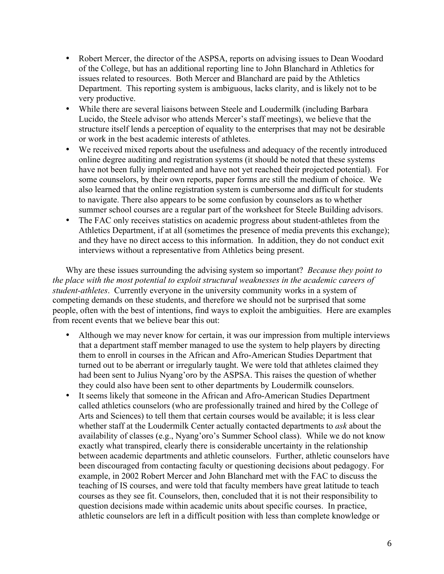- Robert Mercer, the director of the ASPSA, reports on advising issues to Dean Woodard of the College, but has an additional reporting line to John Blanchard in Athletics for issues related to resources. Both Mercer and Blanchard are paid by the Athletics Department. This reporting system is ambiguous, lacks clarity, and is likely not to be very productive.
- While there are several liaisons between Steele and Loudermilk (including Barbara Lucido, the Steele advisor who attends Mercer's staff meetings), we believe that the structure itself lends a perception of equality to the enterprises that may not be desirable or work in the best academic interests of athletes.
- We received mixed reports about the usefulness and adequacy of the recently introduced online degree auditing and registration systems (it should be noted that these systems have not been fully implemented and have not yet reached their projected potential). For some counselors, by their own reports, paper forms are still the medium of choice. We also learned that the online registration system is cumbersome and difficult for students to navigate. There also appears to be some confusion by counselors as to whether summer school courses are a regular part of the worksheet for Steele Building advisors.
- The FAC only receives statistics on academic progress about student-athletes from the Athletics Department, if at all (sometimes the presence of media prevents this exchange); and they have no direct access to this information. In addition, they do not conduct exit interviews without a representative from Athletics being present.

Why are these issues surrounding the advising system so important? *Because they point to the place with the most potential to exploit structural weaknesses in the academic careers of student-athletes*. Currently everyone in the university community works in a system of competing demands on these students, and therefore we should not be surprised that some people, often with the best of intentions, find ways to exploit the ambiguities. Here are examples from recent events that we believe bear this out:

- Although we may never know for certain, it was our impression from multiple interviews that a department staff member managed to use the system to help players by directing them to enroll in courses in the African and Afro-American Studies Department that turned out to be aberrant or irregularly taught. We were told that athletes claimed they had been sent to Julius Nyang'oro by the ASPSA. This raises the question of whether they could also have been sent to other departments by Loudermilk counselors.
- It seems likely that someone in the African and Afro-American Studies Department called athletics counselors (who are professionally trained and hired by the College of Arts and Sciences) to tell them that certain courses would be available; it is less clear whether staff at the Loudermilk Center actually contacted departments to *ask* about the availability of classes (e.g., Nyang'oro's Summer School class). While we do not know exactly what transpired, clearly there is considerable uncertainty in the relationship between academic departments and athletic counselors. Further, athletic counselors have been discouraged from contacting faculty or questioning decisions about pedagogy. For example, in 2002 Robert Mercer and John Blanchard met with the FAC to discuss the teaching of IS courses, and were told that faculty members have great latitude to teach courses as they see fit. Counselors, then, concluded that it is not their responsibility to question decisions made within academic units about specific courses. In practice, athletic counselors are left in a difficult position with less than complete knowledge or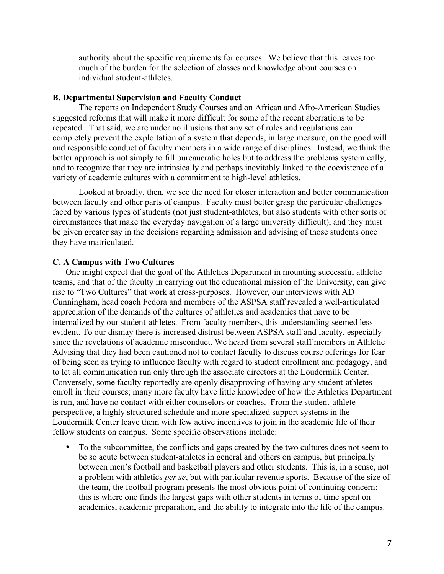authority about the specific requirements for courses. We believe that this leaves too much of the burden for the selection of classes and knowledge about courses on individual student-athletes.

### **B. Departmental Supervision and Faculty Conduct**

The reports on Independent Study Courses and on African and Afro-American Studies suggested reforms that will make it more difficult for some of the recent aberrations to be repeated. That said, we are under no illusions that any set of rules and regulations can completely prevent the exploitation of a system that depends, in large measure, on the good will and responsible conduct of faculty members in a wide range of disciplines. Instead, we think the better approach is not simply to fill bureaucratic holes but to address the problems systemically, and to recognize that they are intrinsically and perhaps inevitably linked to the coexistence of a variety of academic cultures with a commitment to high-level athletics.

Looked at broadly, then, we see the need for closer interaction and better communication between faculty and other parts of campus. Faculty must better grasp the particular challenges faced by various types of students (not just student-athletes, but also students with other sorts of circumstances that make the everyday navigation of a large university difficult), and they must be given greater say in the decisions regarding admission and advising of those students once they have matriculated.

#### **C. A Campus with Two Cultures**

One might expect that the goal of the Athletics Department in mounting successful athletic teams, and that of the faculty in carrying out the educational mission of the University, can give rise to "Two Cultures" that work at cross-purposes. However, our interviews with AD Cunningham, head coach Fedora and members of the ASPSA staff revealed a well-articulated appreciation of the demands of the cultures of athletics and academics that have to be internalized by our student-athletes. From faculty members, this understanding seemed less evident. To our dismay there is increased distrust between ASPSA staff and faculty, especially since the revelations of academic misconduct. We heard from several staff members in Athletic Advising that they had been cautioned not to contact faculty to discuss course offerings for fear of being seen as trying to influence faculty with regard to student enrollment and pedagogy, and to let all communication run only through the associate directors at the Loudermilk Center. Conversely, some faculty reportedly are openly disapproving of having any student-athletes enroll in their courses; many more faculty have little knowledge of how the Athletics Department is run, and have no contact with either counselors or coaches. From the student-athlete perspective, a highly structured schedule and more specialized support systems in the Loudermilk Center leave them with few active incentives to join in the academic life of their fellow students on campus. Some specific observations include:

• To the subcommittee, the conflicts and gaps created by the two cultures does not seem to be so acute between student-athletes in general and others on campus, but principally between men's football and basketball players and other students. This is, in a sense, not a problem with athletics *per se*, but with particular revenue sports. Because of the size of the team, the football program presents the most obvious point of continuing concern: this is where one finds the largest gaps with other students in terms of time spent on academics, academic preparation, and the ability to integrate into the life of the campus.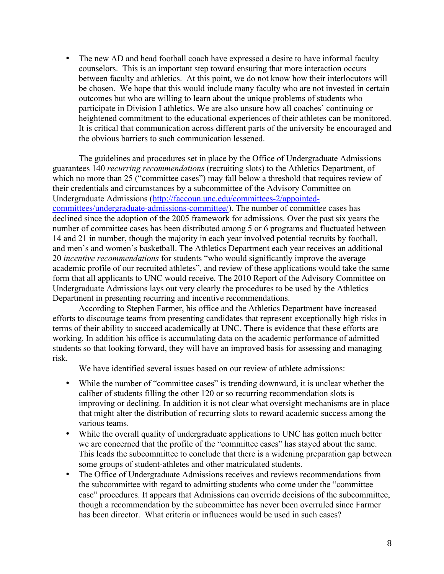• The new AD and head football coach have expressed a desire to have informal faculty counselors. This is an important step toward ensuring that more interaction occurs between faculty and athletics. At this point, we do not know how their interlocutors will be chosen. We hope that this would include many faculty who are not invested in certain outcomes but who are willing to learn about the unique problems of students who participate in Division I athletics. We are also unsure how all coaches' continuing or heightened commitment to the educational experiences of their athletes can be monitored. It is critical that communication across different parts of the university be encouraged and the obvious barriers to such communication lessened.

The guidelines and procedures set in place by the Office of Undergraduate Admissions guarantees 140 *recurring recommendations* (recruiting slots) to the Athletics Department, of which no more than 25 ("committee cases") may fall below a threshold that requires review of their credentials and circumstances by a subcommittee of the Advisory Committee on Undergraduate Admissions (http://faccoun.unc.edu/committees-2/appointedcommittees/undergraduate-admissions-committee/). The number of committee cases has declined since the adoption of the 2005 framework for admissions. Over the past six years the number of committee cases has been distributed among 5 or 6 programs and fluctuated between 14 and 21 in number, though the majority in each year involved potential recruits by football, and men's and women's basketball. The Athletics Department each year receives an additional 20 *incentive recommendations* for students "who would significantly improve the average academic profile of our recruited athletes", and review of these applications would take the same form that all applicants to UNC would receive. The 2010 Report of the Advisory Committee on Undergraduate Admissions lays out very clearly the procedures to be used by the Athletics Department in presenting recurring and incentive recommendations.

According to Stephen Farmer, his office and the Athletics Department have increased efforts to discourage teams from presenting candidates that represent exceptionally high risks in terms of their ability to succeed academically at UNC. There is evidence that these efforts are working. In addition his office is accumulating data on the academic performance of admitted students so that looking forward, they will have an improved basis for assessing and managing risk.

We have identified several issues based on our review of athlete admissions:

- While the number of "committee cases" is trending downward, it is unclear whether the caliber of students filling the other 120 or so recurring recommendation slots is improving or declining. In addition it is not clear what oversight mechanisms are in place that might alter the distribution of recurring slots to reward academic success among the various teams.
- While the overall quality of undergraduate applications to UNC has gotten much better we are concerned that the profile of the "committee cases" has stayed about the same. This leads the subcommittee to conclude that there is a widening preparation gap between some groups of student-athletes and other matriculated students.
- The Office of Undergraduate Admissions receives and reviews recommendations from the subcommittee with regard to admitting students who come under the "committee case" procedures. It appears that Admissions can override decisions of the subcommittee, though a recommendation by the subcommittee has never been overruled since Farmer has been director. What criteria or influences would be used in such cases?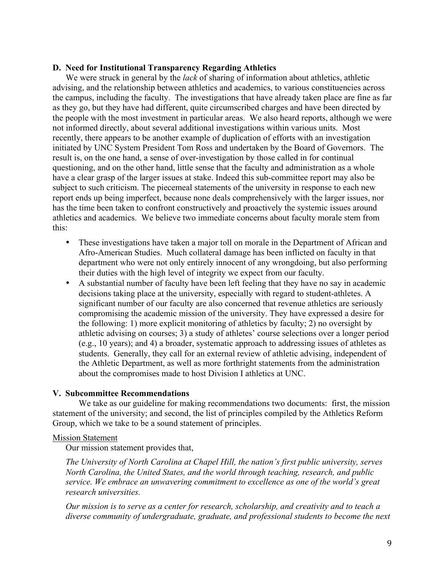## **D. Need for Institutional Transparency Regarding Athletics**

We were struck in general by the *lack* of sharing of information about athletics, athletic advising, and the relationship between athletics and academics, to various constituencies across the campus, including the faculty. The investigations that have already taken place are fine as far as they go, but they have had different, quite circumscribed charges and have been directed by the people with the most investment in particular areas. We also heard reports, although we were not informed directly, about several additional investigations within various units. Most recently, there appears to be another example of duplication of efforts with an investigation initiated by UNC System President Tom Ross and undertaken by the Board of Governors. The result is, on the one hand, a sense of over-investigation by those called in for continual questioning, and on the other hand, little sense that the faculty and administration as a whole have a clear grasp of the larger issues at stake. Indeed this sub-committee report may also be subject to such criticism. The piecemeal statements of the university in response to each new report ends up being imperfect, because none deals comprehensively with the larger issues, nor has the time been taken to confront constructively and proactively the systemic issues around athletics and academics. We believe two immediate concerns about faculty morale stem from this:

- These investigations have taken a major toll on morale in the Department of African and Afro-American Studies. Much collateral damage has been inflicted on faculty in that department who were not only entirely innocent of any wrongdoing, but also performing their duties with the high level of integrity we expect from our faculty.
- A substantial number of faculty have been left feeling that they have no say in academic decisions taking place at the university, especially with regard to student-athletes. A significant number of our faculty are also concerned that revenue athletics are seriously compromising the academic mission of the university. They have expressed a desire for the following: 1) more explicit monitoring of athletics by faculty; 2) no oversight by athletic advising on courses; 3) a study of athletes' course selections over a longer period (e.g., 10 years); and 4) a broader, systematic approach to addressing issues of athletes as students. Generally, they call for an external review of athletic advising, independent of the Athletic Department, as well as more forthright statements from the administration about the compromises made to host Division I athletics at UNC.

## **V. Subcommittee Recommendations**

We take as our guideline for making recommendations two documents: first, the mission statement of the university; and second, the list of principles compiled by the Athletics Reform Group, which we take to be a sound statement of principles.

### Mission Statement

Our mission statement provides that,

*The University of North Carolina at Chapel Hill, the nation's first public university, serves North Carolina, the United States, and the world through teaching, research, and public service. We embrace an unwavering commitment to excellence as one of the world's great research universities.*

*Our mission is to serve as a center for research, scholarship, and creativity and to teach a diverse community of undergraduate, graduate, and professional students to become the next*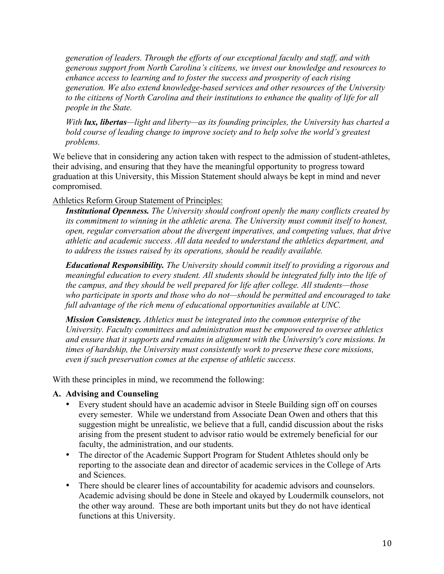*generation of leaders. Through the efforts of our exceptional faculty and staff, and with generous support from North Carolina's citizens, we invest our knowledge and resources to enhance access to learning and to foster the success and prosperity of each rising generation. We also extend knowledge-based services and other resources of the University to the citizens of North Carolina and their institutions to enhance the quality of life for all people in the State.*

*With lux, libertas—light and liberty—as its founding principles, the University has charted a bold course of leading change to improve society and to help solve the world's greatest problems.*

We believe that in considering any action taken with respect to the admission of student-athletes, their advising, and ensuring that they have the meaningful opportunity to progress toward graduation at this University, this Mission Statement should always be kept in mind and never compromised.

## Athletics Reform Group Statement of Principles:

*Institutional Openness. The University should confront openly the many conflicts created by its commitment to winning in the athletic arena. The University must commit itself to honest, open, regular conversation about the divergent imperatives, and competing values, that drive athletic and academic success. All data needed to understand the athletics department, and to address the issues raised by its operations, should be readily available.*

*Educational Responsibility. The University should commit itself to providing a rigorous and meaningful education to every student. All students should be integrated fully into the life of the campus, and they should be well prepared for life after college. All students—those who participate in sports and those who do not—should be permitted and encouraged to take full advantage of the rich menu of educational opportunities available at UNC.*

*Mission Consistency. Athletics must be integrated into the common enterprise of the University. Faculty committees and administration must be empowered to oversee athletics and ensure that it supports and remains in alignment with the University's core missions. In times of hardship, the University must consistently work to preserve these core missions, even if such preservation comes at the expense of athletic success.*

With these principles in mind, we recommend the following:

## **A. Advising and Counseling**

- Every student should have an academic advisor in Steele Building sign off on courses every semester. While we understand from Associate Dean Owen and others that this suggestion might be unrealistic, we believe that a full, candid discussion about the risks arising from the present student to advisor ratio would be extremely beneficial for our faculty, the administration, and our students.
- The director of the Academic Support Program for Student Athletes should only be reporting to the associate dean and director of academic services in the College of Arts and Sciences.
- There should be clearer lines of accountability for academic advisors and counselors. Academic advising should be done in Steele and okayed by Loudermilk counselors, not the other way around. These are both important units but they do not have identical functions at this University.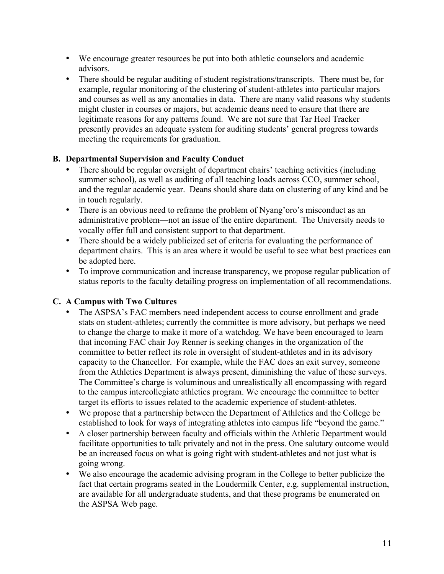- We encourage greater resources be put into both athletic counselors and academic advisors.
- There should be regular auditing of student registrations/transcripts. There must be, for example, regular monitoring of the clustering of student-athletes into particular majors and courses as well as any anomalies in data. There are many valid reasons why students might cluster in courses or majors, but academic deans need to ensure that there are legitimate reasons for any patterns found. We are not sure that Tar Heel Tracker presently provides an adequate system for auditing students' general progress towards meeting the requirements for graduation.

## **B. Departmental Supervision and Faculty Conduct**

- There should be regular oversight of department chairs' teaching activities (including summer school), as well as auditing of all teaching loads across CCO, summer school, and the regular academic year. Deans should share data on clustering of any kind and be in touch regularly.
- There is an obvious need to reframe the problem of Nyang'oro's misconduct as an administrative problem—not an issue of the entire department. The University needs to vocally offer full and consistent support to that department.
- There should be a widely publicized set of criteria for evaluating the performance of department chairs. This is an area where it would be useful to see what best practices can be adopted here.
- To improve communication and increase transparency, we propose regular publication of status reports to the faculty detailing progress on implementation of all recommendations.

# **C. A Campus with Two Cultures**

- The ASPSA's FAC members need independent access to course enrollment and grade stats on student-athletes; currently the committee is more advisory, but perhaps we need to change the charge to make it more of a watchdog. We have been encouraged to learn that incoming FAC chair Joy Renner is seeking changes in the organization of the committee to better reflect its role in oversight of student-athletes and in its advisory capacity to the Chancellor. For example, while the FAC does an exit survey, someone from the Athletics Department is always present, diminishing the value of these surveys. The Committee's charge is voluminous and unrealistically all encompassing with regard to the campus intercollegiate athletics program. We encourage the committee to better target its efforts to issues related to the academic experience of student-athletes.
- We propose that a partnership between the Department of Athletics and the College be established to look for ways of integrating athletes into campus life "beyond the game."
- A closer partnership between faculty and officials within the Athletic Department would facilitate opportunities to talk privately and not in the press. One salutary outcome would be an increased focus on what is going right with student-athletes and not just what is going wrong.
- We also encourage the academic advising program in the College to better publicize the fact that certain programs seated in the Loudermilk Center, e.g. supplemental instruction, are available for all undergraduate students, and that these programs be enumerated on the ASPSA Web page.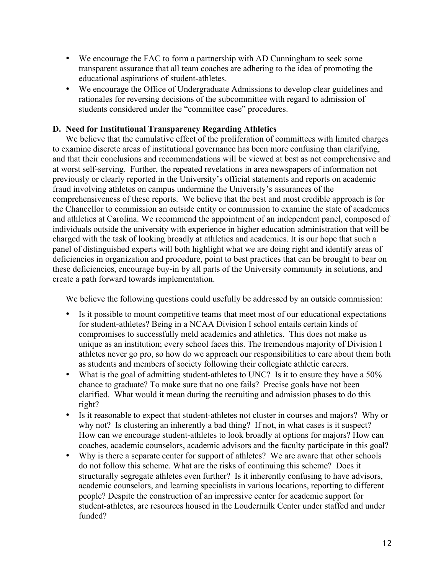- We encourage the FAC to form a partnership with AD Cunningham to seek some transparent assurance that all team coaches are adhering to the idea of promoting the educational aspirations of student-athletes.
- We encourage the Office of Undergraduate Admissions to develop clear guidelines and rationales for reversing decisions of the subcommittee with regard to admission of students considered under the "committee case" procedures.

## **D. Need for Institutional Transparency Regarding Athletics**

We believe that the cumulative effect of the proliferation of committees with limited charges to examine discrete areas of institutional governance has been more confusing than clarifying, and that their conclusions and recommendations will be viewed at best as not comprehensive and at worst self-serving. Further, the repeated revelations in area newspapers of information not previously or clearly reported in the University's official statements and reports on academic fraud involving athletes on campus undermine the University's assurances of the comprehensiveness of these reports. We believe that the best and most credible approach is for the Chancellor to commission an outside entity or commission to examine the state of academics and athletics at Carolina. We recommend the appointment of an independent panel, composed of individuals outside the university with experience in higher education administration that will be charged with the task of looking broadly at athletics and academics. It is our hope that such a panel of distinguished experts will both highlight what we are doing right and identify areas of deficiencies in organization and procedure, point to best practices that can be brought to bear on these deficiencies, encourage buy-in by all parts of the University community in solutions, and create a path forward towards implementation.

We believe the following questions could usefully be addressed by an outside commission:

- Is it possible to mount competitive teams that meet most of our educational expectations for student-athletes? Being in a NCAA Division I school entails certain kinds of compromises to successfully meld academics and athletics. This does not make us unique as an institution; every school faces this. The tremendous majority of Division I athletes never go pro, so how do we approach our responsibilities to care about them both as students and members of society following their collegiate athletic careers.
- What is the goal of admitting student-athletes to UNC? Is it to ensure they have a 50% chance to graduate? To make sure that no one fails? Precise goals have not been clarified. What would it mean during the recruiting and admission phases to do this right?
- Is it reasonable to expect that student-athletes not cluster in courses and majors? Why or why not? Is clustering an inherently a bad thing? If not, in what cases is it suspect? How can we encourage student-athletes to look broadly at options for majors? How can coaches, academic counselors, academic advisors and the faculty participate in this goal?
- Why is there a separate center for support of athletes? We are aware that other schools do not follow this scheme. What are the risks of continuing this scheme? Does it structurally segregate athletes even further? Is it inherently confusing to have advisors, academic counselors, and learning specialists in various locations, reporting to different people? Despite the construction of an impressive center for academic support for student-athletes, are resources housed in the Loudermilk Center under staffed and under funded?